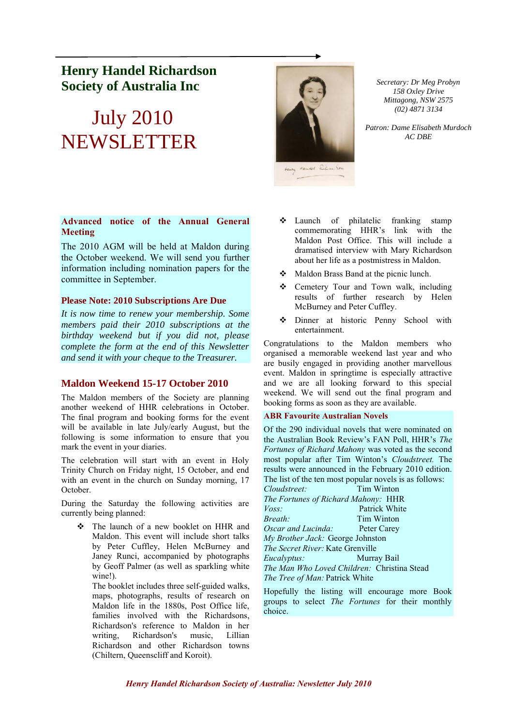# **Henry Handel Richardson Society of Australia Inc**

# July 2010 NEWSLETTER

# **Advanced notice of the Annual General Meeting**

The 2010 AGM will be held at Maldon during the October weekend. We will send you further information including nomination papers for the committee in September.

### **Please Note: 2010 Subscriptions Are Due**

*It is now time to renew your membership. Some members paid their 2010 subscriptions at the birthday weekend but if you did not, please complete the form at the end of this Newsletter and send it with your cheque to the Treasurer.*

# **Maldon Weekend 15-17 October 2010**

The Maldon members of the Society are planning another weekend of HHR celebrations in October. The final program and booking forms for the event will be available in late July/early August, but the following is some information to ensure that you mark the event in your diaries.

The celebration will start with an event in Holy Trinity Church on Friday night, 15 October, and end with an event in the church on Sunday morning, 17 October.

During the Saturday the following activities are currently being planned:

❖ The launch of a new booklet on HHR and Maldon. This event will include short talks by Peter Cuffley, Helen McBurney and Janey Runci, accompanied by photographs by Geoff Palmer (as well as sparkling white wine!).

The booklet includes three self-guided walks, maps, photographs, results of research on Maldon life in the 1880s, Post Office life, families involved with the Richardsons, Richardson's reference to Maldon in her writing, Richardson's music, Lillian Richardson and other Richardson towns (Chiltern, Queenscliff and Koroit).



*Secretary: Dr Meg Probyn 158 Oxley Drive Mittagong, NSW 2575 (02) 4871 3134*

*Patron: Dame Elisabeth Murdoch AC DBE*

- ❖ Launch of philatelic franking stamp commemorating HHR's link with the Maldon Post Office. This will include a dramatised interview with Mary Richardson about her life as a postmistress in Maldon.
- ❖ Maldon Brass Band at the picnic lunch.
- ❖ Cemetery Tour and Town walk, including results of further research by Helen McBurney and Peter Cuffley.
- ❖ Dinner at historic Penny School with entertainment.

Congratulations to the Maldon members who organised a memorable weekend last year and who are busily engaged in providing another marvellous event. Maldon in springtime is especially attractive and we are all looking forward to this special weekend. We will send out the final program and booking forms as soon as they are available.

#### **ABR Favourite Australian Novels**

Of the 290 individual novels that were nominated on the Australian Book Review's FAN Poll, HHR's *The Fortunes of Richard Mahony* was voted as the second most popular after Tim Winton's *Cloudstreet.* The results were announced in the February 2010 edition. The list of the ten most popular novels is as follows:

| Cloudstreet:                                | Tim Winton    |
|---------------------------------------------|---------------|
| The Fortunes of Richard Mahony: HHR         |               |
| $V$ oss:                                    | Patrick White |
| Breath:                                     | Tim Winton    |
| Oscar and Lucinda:                          | Peter Carey   |
| My Brother Jack: George Johnston            |               |
| <i>The Secret River:</i> Kate Grenville     |               |
| <i>Eucalyptus:</i>                          | Murray Bail   |
| The Man Who Loved Children: Christina Stead |               |
| <i>The Tree of Man: Patrick White</i>       |               |

Hopefully the listing will encourage more Book groups to select *The Fortunes* for their monthly choice.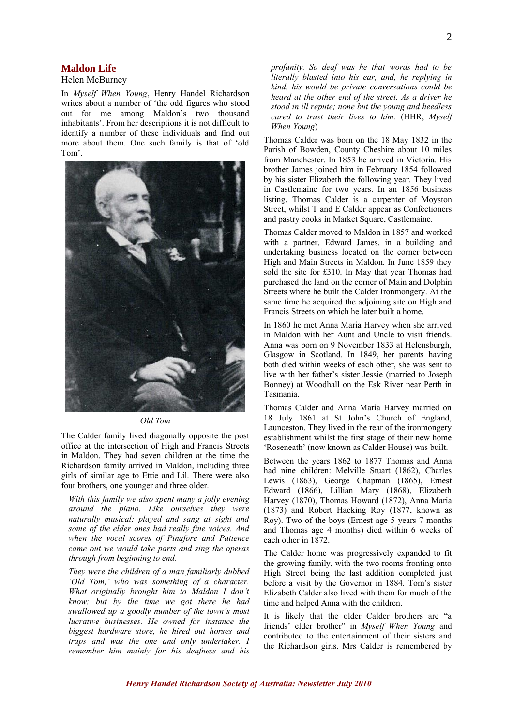# **Maldon Life**

#### Helen McBurney

In *Myself When Young*, Henry Handel Richardson writes about a number of 'the odd figures who stood out for me among Maldon's two thousand inhabitants'. From her descriptions it is not difficult to identify a number of these individuals and find out more about them. One such family is that of 'old Tom'.



#### *Old Tom*

The Calder family lived diagonally opposite the post office at the intersection of High and Francis Streets in Maldon. They had seven children at the time the Richardson family arrived in Maldon, including three girls of similar age to Ettie and Lil. There were also four brothers, one younger and three older.

*With this family we also spent many a jolly evening around the piano. Like ourselves they were naturally musical; played and sang at sight and some of the elder ones had really fine voices. And when the vocal scores of Pinafore and Patience came out we would take parts and sing the operas through from beginning to end.*

*They were the children of a man familiarly dubbed 'Old Tom,' who was something of a character. What originally brought him to Maldon I don't know; but by the time we got there he had swallowed up a goodly number of the town's most lucrative businesses. He owned for instance the biggest hardware store, he hired out horses and traps and was the one and only undertaker. I remember him mainly for his deafness and his* 

*profanity. So deaf was he that words had to be literally blasted into his ear, and, he replying in kind, his would be private conversations could be heard at the other end of the street. As a driver he stood in ill repute; none but the young and heedless cared to trust their lives to him.* (HHR, *Myself When Young*)

Thomas Calder was born on the 18 May 1832 in the Parish of Bowden, County Cheshire about 10 miles from Manchester. In 1853 he arrived in Victoria. His brother James joined him in February 1854 followed by his sister Elizabeth the following year. They lived in Castlemaine for two years. In an 1856 business listing, Thomas Calder is a carpenter of Moyston Street, whilst T and E Calder appear as Confectioners and pastry cooks in Market Square, Castlemaine.

Thomas Calder moved to Maldon in 1857 and worked with a partner, Edward James, in a building and undertaking business located on the corner between High and Main Streets in Maldon. In June 1859 they sold the site for £310. In May that year Thomas had purchased the land on the corner of Main and Dolphin Streets where he built the Calder Ironmongery. At the same time he acquired the adjoining site on High and Francis Streets on which he later built a home.

In 1860 he met Anna Maria Harvey when she arrived in Maldon with her Aunt and Uncle to visit friends. Anna was born on 9 November 1833 at Helensburgh, Glasgow in Scotland. In 1849, her parents having both died within weeks of each other, she was sent to live with her father's sister Jessie (married to Joseph Bonney) at Woodhall on the Esk River near Perth in Tasmania.

Thomas Calder and Anna Maria Harvey married on 18 July 1861 at St John's Church of England, Launceston. They lived in the rear of the ironmongery establishment whilst the first stage of their new home 'Roseneath' (now known as Calder House) was built.

Between the years 1862 to 1877 Thomas and Anna had nine children: Melville Stuart (1862), Charles Lewis (1863), George Chapman (1865), Ernest Edward (1866), Lillian Mary (1868), Elizabeth Harvey (1870), Thomas Howard (1872), Anna Maria (1873) and Robert Hacking Roy (1877, known as Roy). Two of the boys (Ernest age 5 years 7 months and Thomas age 4 months) died within 6 weeks of each other in 1872.

The Calder home was progressively expanded to fit the growing family, with the two rooms fronting onto High Street being the last addition completed just before a visit by the Governor in 1884. Tom's sister Elizabeth Calder also lived with them for much of the time and helped Anna with the children.

It is likely that the older Calder brothers are "a friends' elder brother" in *Myself When Young* and contributed to the entertainment of their sisters and the Richardson girls. Mrs Calder is remembered by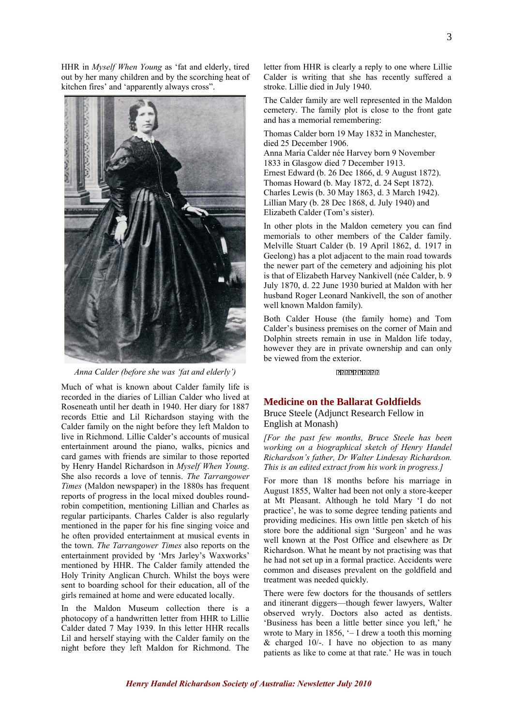HHR in *Myself When Young* as 'fat and elderly, tired out by her many children and by the scorching heat of kitchen fires' and 'apparently always cross".



*Anna Calder (before she was 'fat and elderly')*

Much of what is known about Calder family life is recorded in the diaries of Lillian Calder who lived at Roseneath until her death in 1940. Her diary for 1887 records Ettie and Lil Richardson staying with the Calder family on the night before they left Maldon to live in Richmond. Lillie Calder's accounts of musical entertainment around the piano, walks, picnics and card games with friends are similar to those reported by Henry Handel Richardson in *Myself When Young*. She also records a love of tennis. *The Tarrangower Times* (Maldon newspaper) in the 1880s has frequent reports of progress in the local mixed doubles roundrobin competition, mentioning Lillian and Charles as regular participants. Charles Calder is also regularly mentioned in the paper for his fine singing voice and he often provided entertainment at musical events in the town. *The Tarrangower Times* also reports on the entertainment provided by 'Mrs Jarley's Waxworks' mentioned by HHR. The Calder family attended the Holy Trinity Anglican Church. Whilst the boys were sent to boarding school for their education, all of the girls remained at home and were educated locally.

In the Maldon Museum collection there is a photocopy of a handwritten letter from HHR to Lillie Calder dated 7 May 1939. In this letter HHR recalls Lil and herself staying with the Calder family on the night before they left Maldon for Richmond. The letter from HHR is clearly a reply to one where Lillie Calder is writing that she has recently suffered a stroke. Lillie died in July 1940.

The Calder family are well represented in the Maldon cemetery. The family plot is close to the front gate and has a memorial remembering:

Thomas Calder born 19 May 1832 in Manchester, died 25 December 1906. Anna Maria Calder née Harvey born 9 November 1833 in Glasgow died 7 December 1913. Ernest Edward (b. 26 Dec 1866, d. 9 August 1872). Thomas Howard (b. May 1872, d. 24 Sept 1872). Charles Lewis (b. 30 May 1863, d. 3 March 1942). Lillian Mary (b. 28 Dec 1868, d. July 1940) and Elizabeth Calder (Tom's sister).

In other plots in the Maldon cemetery you can find memorials to other members of the Calder family. Melville Stuart Calder (b. 19 April 1862, d. 1917 in Geelong) has a plot adjacent to the main road towards the newer part of the cemetery and adjoining his plot is that of Elizabeth Harvey Nankivell (née Calder, b. 9 July 1870, d. 22 June 1930 buried at Maldon with her husband Roger Leonard Nankivell, the son of another well known Maldon family).

Both Calder House (the family home) and Tom Calder's business premises on the corner of Main and Dolphin streets remain in use in Maldon life today, however they are in private ownership and can only be viewed from the exterior.

<u>קקקקקקקקקקק</u>

#### **Medicine on the Ballarat Goldfields**

#### Bruce Steele (Adjunct Research Fellow in English at Monash)

*[For the past few months, Bruce Steele has been working on a biographical sketch of Henry Handel Richardson's father, Dr Walter Lindesay Richardson. This is an edited extract from his work in progress.]*

For more than 18 months before his marriage in August 1855, Walter had been not only a store-keeper at Mt Pleasant. Although he told Mary 'I do not practice', he was to some degree tending patients and providing medicines. His own little pen sketch of his store bore the additional sign 'Surgeon' and he was well known at the Post Office and elsewhere as Dr Richardson. What he meant by not practising was that he had not set up in a formal practice. Accidents were common and diseases prevalent on the goldfield and treatment was needed quickly.

There were few doctors for the thousands of settlers and itinerant diggers—though fewer lawyers, Walter observed wryly. Doctors also acted as dentists. 'Business has been a little better since you left,' he wrote to Mary in 1856,  $-$  I drew a tooth this morning  $&$  charged 10/-. I have no objection to as many patients as like to come at that rate.' He was in touch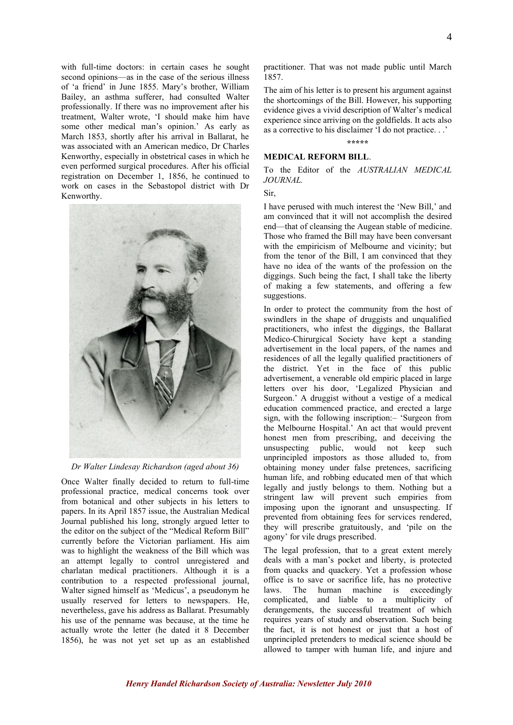with full-time doctors: in certain cases he sought second opinions—as in the case of the serious illness of 'a friend' in June 1855. Mary's brother, William Bailey, an asthma sufferer, had consulted Walter professionally. If there was no improvement after his treatment, Walter wrote, 'I should make him have some other medical man's opinion.' As early as March 1853, shortly after his arrival in Ballarat, he was associated with an American medico, Dr Charles Kenworthy, especially in obstetrical cases in which he even performed surgical procedures. After his official registration on December 1, 1856, he continued to work on cases in the Sebastopol district with Dr Kenworthy.



*Dr Walter Lindesay Richardson (aged about 36)*

Once Walter finally decided to return to full-time professional practice, medical concerns took over from botanical and other subjects in his letters to papers. In its April 1857 issue, the Australian Medical Journal published his long, strongly argued letter to the editor on the subject of the "Medical Reform Bill" currently before the Victorian parliament. His aim was to highlight the weakness of the Bill which was an attempt legally to control unregistered and charlatan medical practitioners. Although it is a contribution to a respected professional journal, Walter signed himself as 'Medicus', a pseudonym he usually reserved for letters to newspapers. He, nevertheless, gave his address as Ballarat. Presumably his use of the penname was because, at the time he actually wrote the letter (he dated it 8 December 1856), he was not yet set up as an established

practitioner. That was not made public until March 1857.

The aim of his letter is to present his argument against the shortcomings of the Bill. However, his supporting evidence gives a vivid description of Walter's medical experience since arriving on the goldfields. It acts also as a corrective to his disclaimer 'I do not practice. . .'

**\*\*\*\*\***

#### **MEDICAL REFORM BILL**.

To the Editor of the *AUSTRALIAN MEDICAL JOURNAL.*

Sir,

I have perused with much interest the 'New Bill,' and am convinced that it will not accomplish the desired end—that of cleansing the Augean stable of medicine. Those who framed the Bill may have been conversant with the empiricism of Melbourne and vicinity; but from the tenor of the Bill, I am convinced that they have no idea of the wants of the profession on the diggings. Such being the fact, I shall take the liberty of making a few statements, and offering a few suggestions.

In order to protect the community from the host of swindlers in the shape of druggists and unqualified practitioners, who infest the diggings, the Ballarat Medico-Chirurgical Society have kept a standing advertisement in the local papers, of the names and residences of all the legally qualified practitioners of the district. Yet in the face of this public advertisement, a venerable old empiric placed in large letters over his door, 'Legalized Physician and Surgeon.' A druggist without a vestige of a medical education commenced practice, and erected a large sign, with the following inscription:– 'Surgeon from the Melbourne Hospital.' An act that would prevent honest men from prescribing, and deceiving the unsuspecting public, would not keep such unprincipled impostors as those alluded to, from obtaining money under false pretences, sacrificing human life, and robbing educated men of that which legally and justly belongs to them. Nothing but a stringent law will prevent such empiries from imposing upon the ignorant and unsuspecting. If prevented from obtaining fees for services rendered, they will prescribe gratuitously, and 'pile on the agony' for vile drugs prescribed.

The legal profession, that to a great extent merely deals with a man's pocket and liberty, is protected from quacks and quackery. Yet a profession whose office is to save or sacrifice life, has no protective laws. The human machine is exceedingly complicated, and liable to a multiplicity of derangements, the successful treatment of which requires years of study and observation. Such being the fact, it is not honest or just that a host of unprincipled pretenders to medical science should be allowed to tamper with human life, and injure and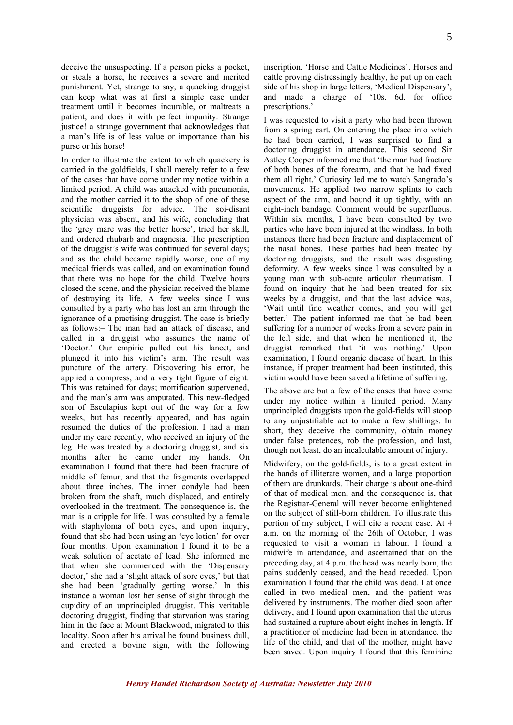deceive the unsuspecting. If a person picks a pocket, or steals a horse, he receives a severe and merited punishment. Yet, strange to say, a quacking druggist can keep what was at first a simple case under treatment until it becomes incurable, or maltreats a patient, and does it with perfect impunity. Strange justice! a strange government that acknowledges that a man's life is of less value or importance than his purse or his horse!

In order to illustrate the extent to which quackery is carried in the goldfields, I shall merely refer to a few of the cases that have come under my notice within a limited period. A child was attacked with pneumonia, and the mother carried it to the shop of one of these scientific druggists for advice. The soi-disant physician was absent, and his wife, concluding that the 'grey mare was the better horse', tried her skill, and ordered rhubarb and magnesia. The prescription of the druggist's wife was continued for several days; and as the child became rapidly worse, one of my medical friends was called, and on examination found that there was no hope for the child. Twelve hours closed the scene, and the physician received the blame of destroying its life. A few weeks since I was consulted by a party who has lost an arm through the ignorance of a practising druggist. The case is briefly as follows:– The man had an attack of disease, and called in a druggist who assumes the name of 'Doctor.' Our empiric pulled out his lancet, and plunged it into his victim's arm. The result was puncture of the artery. Discovering his error, he applied a compress, and a very tight figure of eight. This was retained for days; mortification supervened, and the man's arm was amputated. This new-fledged son of Esculapius kept out of the way for a few weeks, but has recently appeared, and has again resumed the duties of the profession. I had a man under my care recently, who received an injury of the leg. He was treated by a doctoring druggist, and six months after he came under my hands. On examination I found that there had been fracture of middle of femur, and that the fragments overlapped about three inches. The inner condyle had been broken from the shaft, much displaced, and entirely overlooked in the treatment. The consequence is, the man is a cripple for life. I was consulted by a female with staphyloma of both eyes, and upon inquiry, found that she had been using an 'eye lotion' for over four months. Upon examination I found it to be a weak solution of acetate of lead. She informed me that when she commenced with the 'Dispensary doctor,' she had a 'slight attack of sore eyes,' but that she had been 'gradually getting worse.' In this instance a woman lost her sense of sight through the cupidity of an unprincipled druggist. This veritable doctoring druggist, finding that starvation was staring him in the face at Mount Blackwood, migrated to this locality. Soon after his arrival he found business dull, and erected a bovine sign, with the following

inscription, 'Horse and Cattle Medicines'. Horses and cattle proving distressingly healthy, he put up on each side of his shop in large letters, 'Medical Dispensary', and made a charge of '10s. 6d. for office prescriptions.'

I was requested to visit a party who had been thrown from a spring cart. On entering the place into which he had been carried, I was surprised to find a doctoring druggist in attendance. This second Sir Astley Cooper informed me that 'the man had fracture of both bones of the forearm, and that he had fixed them all right.' Curiosity led me to watch Sangrado's movements. He applied two narrow splints to each aspect of the arm, and bound it up tightly, with an eight-inch bandage. Comment would be superfluous. Within six months, I have been consulted by two parties who have been injured at the windlass. In both instances there had been fracture and displacement of the nasal bones. These parties had been treated by doctoring druggists, and the result was disgusting deformity. A few weeks since I was consulted by a young man with sub-acute articular rheumatism. I found on inquiry that he had been treated for six weeks by a druggist, and that the last advice was, 'Wait until fine weather comes, and you will get better.' The patient informed me that he had been suffering for a number of weeks from a severe pain in the left side, and that when he mentioned it, the druggist remarked that 'it was nothing.' Upon examination, I found organic disease of heart. In this instance, if proper treatment had been instituted, this victim would have been saved a lifetime of suffering.

The above are but a few of the cases that have come under my notice within a limited period. Many unprincipled druggists upon the gold-fields will stoop to any unjustifiable act to make a few shillings. In short, they deceive the community, obtain money under false pretences, rob the profession, and last, though not least, do an incalculable amount of injury.

Midwifery, on the gold-fields, is to a great extent in the hands of illiterate women, and a large proportion of them are drunkards. Their charge is about one-third of that of medical men, and the consequence is, that the Registrar-General will never become enlightened on the subject of still-born children. To illustrate this portion of my subject, I will cite a recent case. At 4 a.m. on the morning of the 26th of October, I was requested to visit a woman in labour. I found a midwife in attendance, and ascertained that on the preceding day, at 4 p.m. the head was nearly born, the pains suddenly ceased, and the head receded. Upon examination I found that the child was dead. I at once called in two medical men, and the patient was delivered by instruments. The mother died soon after delivery, and I found upon examination that the uterus had sustained a rupture about eight inches in length. If a practitioner of medicine had been in attendance, the life of the child, and that of the mother, might have been saved. Upon inquiry I found that this feminine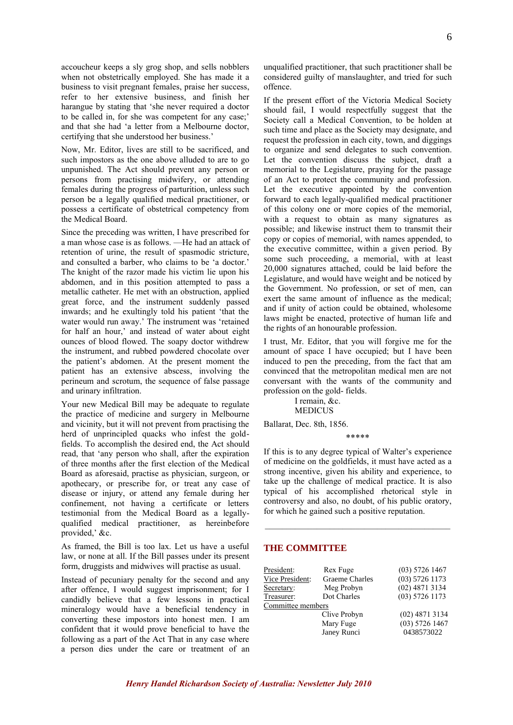accoucheur keeps a sly grog shop, and sells nobblers when not obstetrically employed. She has made it a business to visit pregnant females, praise her success, refer to her extensive business, and finish her harangue by stating that 'she never required a doctor to be called in, for she was competent for any case;' and that she had 'a letter from a Melbourne doctor, certifying that she understood her business.'

Now, Mr. Editor, lives are still to be sacrificed, and such impostors as the one above alluded to are to go unpunished. The Act should prevent any person or persons from practising midwifery, or attending females during the progress of parturition, unless such person be a legally qualified medical practitioner, or possess a certificate of obstetrical competency from the Medical Board.

Since the preceding was written, I have prescribed for a man whose case is as follows. —He had an attack of retention of urine, the result of spasmodic stricture, and consulted a barber, who claims to be 'a doctor.' The knight of the razor made his victim lie upon his abdomen, and in this position attempted to pass a metallic catheter. He met with an obstruction, applied great force, and the instrument suddenly passed inwards; and he exultingly told his patient 'that the water would run away.' The instrument was 'retained for half an hour,' and instead of water about eight ounces of blood flowed. The soapy doctor withdrew the instrument, and rubbed powdered chocolate over the patient's abdomen. At the present moment the patient has an extensive abscess, involving the perineum and scrotum, the sequence of false passage and urinary infiltration.

Your new Medical Bill may be adequate to regulate the practice of medicine and surgery in Melbourne and vicinity, but it will not prevent from practising the herd of unprincipled quacks who infest the goldfields. To accomplish the desired end, the Act should read, that 'any person who shall, after the expiration of three months after the first election of the Medical Board as aforesaid, practise as physician, surgeon, or apothecary, or prescribe for, or treat any case of disease or injury, or attend any female during her confinement, not having a certificate or letters testimonial from the Medical Board as a legallyqualified medical practitioner, as hereinbefore provided,' &c.

As framed, the Bill is too lax. Let us have a useful law, or none at all. If the Bill passes under its present form, druggists and midwives will practise as usual.

Instead of pecuniary penalty for the second and any after offence, I would suggest imprisonment; for I candidly believe that a few lessons in practical mineralogy would have a beneficial tendency in converting these impostors into honest men. I am confident that it would prove beneficial to have the following as a part of the Act That in any case where a person dies under the care or treatment of an unqualified practitioner, that such practitioner shall be considered guilty of manslaughter, and tried for such offence.

If the present effort of the Victoria Medical Society should fail, I would respectfully suggest that the Society call a Medical Convention, to be holden at such time and place as the Society may designate, and request the profession in each city, town, and diggings to organize and send delegates to such convention. Let the convention discuss the subject, draft a memorial to the Legislature, praying for the passage of an Act to protect the community and profession. Let the executive appointed by the convention forward to each legally-qualified medical practitioner of this colony one or more copies of the memorial, with a request to obtain as many signatures as possible; and likewise instruct them to transmit their copy or copies of memorial, with names appended, to the executive committee, within a given period. By some such proceeding, a memorial, with at least 20,000 signatures attached, could be laid before the Legislature, and would have weight and be noticed by the Government. No profession, or set of men, can exert the same amount of influence as the medical; and if unity of action could be obtained, wholesome laws might be enacted, protective of human life and the rights of an honourable profession.

I trust, Mr. Editor, that you will forgive me for the amount of space I have occupied; but I have been induced to pen the preceding, from the fact that am convinced that the metropolitan medical men are not conversant with the wants of the community and profession on the gold- fields.

> I remain, &c. MEDICUS

Ballarat, Dec. 8th, 1856.

\*\*\*\*\*

If this is to any degree typical of Walter's experience of medicine on the goldfields, it must have acted as a strong incentive, given his ability and experience, to take up the challenge of medical practice. It is also typical of his accomplished rhetorical style in controversy and also, no doubt, of his public oratory, for which he gained such a positive reputation.

#### **THE COMMITTEE**

| President:        | Rex Fuge       | $(03)$ 5726 1467 |
|-------------------|----------------|------------------|
| Vice President:   | Graeme Charles | $(03)$ 5726 1173 |
| Secretary:        | Meg Probyn     | $(02)$ 4871 3134 |
| Treasurer:        | Dot Charles    | $(03)$ 5726 1173 |
| Committee members |                |                  |
|                   | Clive Probyn   | $(02)$ 4871 3134 |
|                   | Mary Fuge      | $(03)$ 5726 1467 |
|                   | Janey Runci    | 0438573022       |
|                   |                |                  |